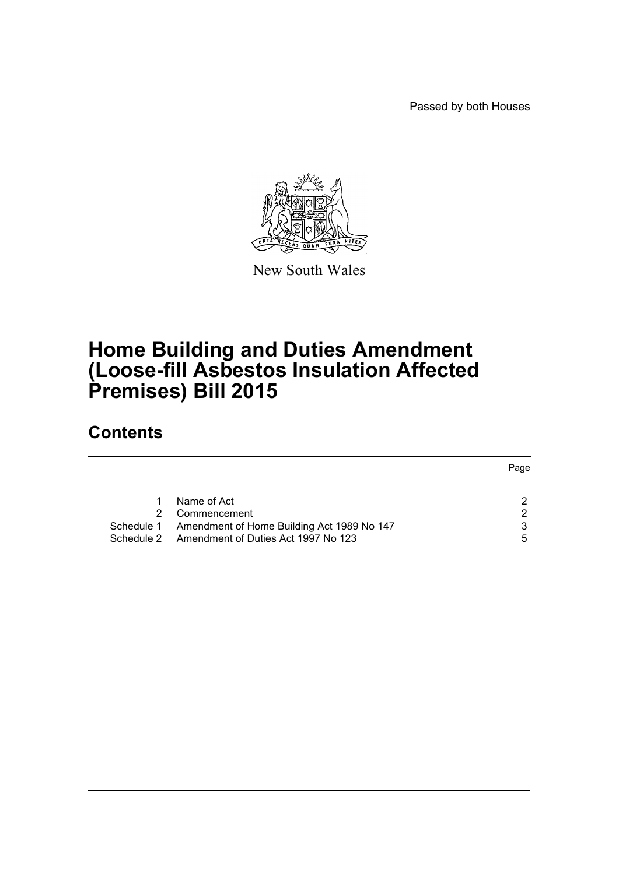Passed by both Houses



New South Wales

# **Home Building and Duties Amendment (Loose-fill Asbestos Insulation Affected Premises) Bill 2015**

# **Contents**

|                                                       | Page |
|-------------------------------------------------------|------|
|                                                       |      |
| Name of Act                                           |      |
| Commencement                                          | ົ    |
| Schedule 1 Amendment of Home Building Act 1989 No 147 | ર    |
| Schedule 2 Amendment of Duties Act 1997 No 123        | 5    |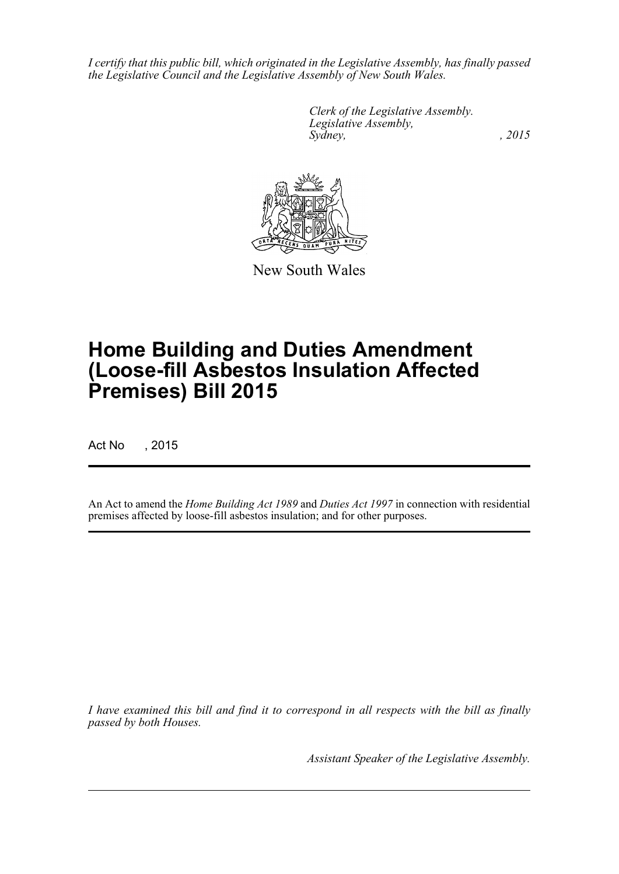*I certify that this public bill, which originated in the Legislative Assembly, has finally passed the Legislative Council and the Legislative Assembly of New South Wales.*

> *Clerk of the Legislative Assembly. Legislative Assembly, Sydney,* , 2015



New South Wales

# **Home Building and Duties Amendment (Loose-fill Asbestos Insulation Affected Premises) Bill 2015**

Act No , 2015

An Act to amend the *Home Building Act 1989* and *Duties Act 1997* in connection with residential premises affected by loose-fill asbestos insulation; and for other purposes.

*I have examined this bill and find it to correspond in all respects with the bill as finally passed by both Houses.*

*Assistant Speaker of the Legislative Assembly.*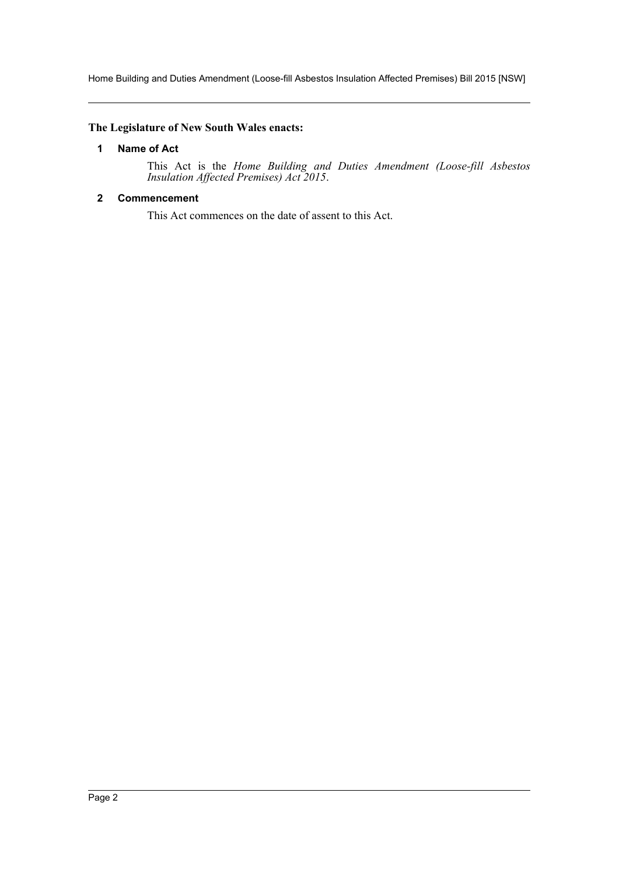Home Building and Duties Amendment (Loose-fill Asbestos Insulation Affected Premises) Bill 2015 [NSW]

#### <span id="page-2-0"></span>**The Legislature of New South Wales enacts:**

#### **1 Name of Act**

This Act is the *Home Building and Duties Amendment (Loose-fill Asbestos Insulation Affected Premises) Act 2015*.

#### <span id="page-2-1"></span>**2 Commencement**

This Act commences on the date of assent to this Act.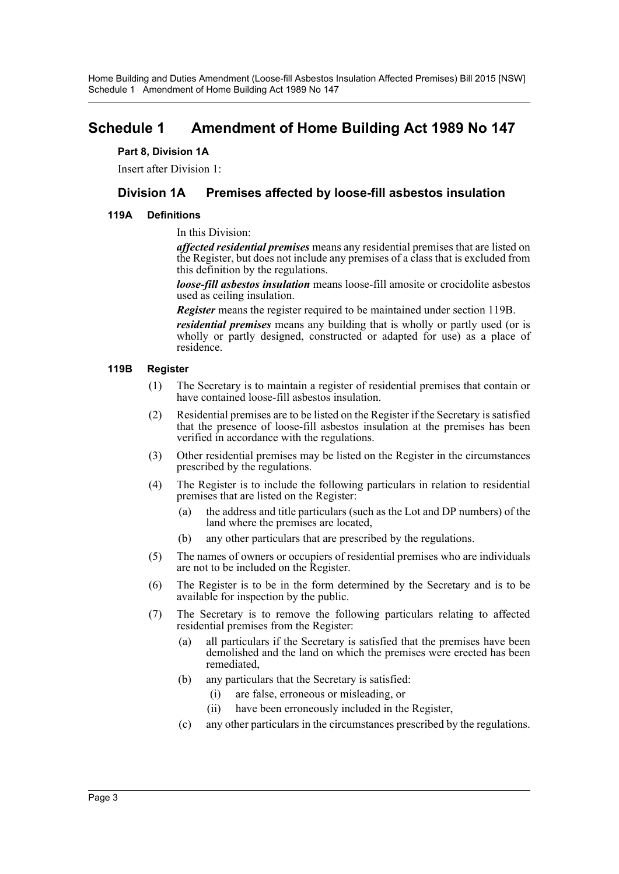Home Building and Duties Amendment (Loose-fill Asbestos Insulation Affected Premises) Bill 2015 [NSW] Schedule 1 Amendment of Home Building Act 1989 No 147

# <span id="page-3-0"></span>**Schedule 1 Amendment of Home Building Act 1989 No 147**

#### **Part 8, Division 1A**

Insert after Division 1:

## **Division 1A Premises affected by loose-fill asbestos insulation**

#### **119A Definitions**

#### In this Division:

*affected residential premises* means any residential premises that are listed on the Register, but does not include any premises of a class that is excluded from this definition by the regulations.

*loose-fill asbestos insulation* means loose-fill amosite or crocidolite asbestos used as ceiling insulation.

*Register* means the register required to be maintained under section 119B.

*residential premises* means any building that is wholly or partly used (or is wholly or partly designed, constructed or adapted for use) as a place of residence.

#### **119B Register**

- (1) The Secretary is to maintain a register of residential premises that contain or have contained loose-fill asbestos insulation.
- (2) Residential premises are to be listed on the Register if the Secretary is satisfied that the presence of loose-fill asbestos insulation at the premises has been verified in accordance with the regulations.
- (3) Other residential premises may be listed on the Register in the circumstances prescribed by the regulations.
- (4) The Register is to include the following particulars in relation to residential premises that are listed on the Register:
	- (a) the address and title particulars (such as the Lot and DP numbers) of the land where the premises are located,
	- (b) any other particulars that are prescribed by the regulations.
- (5) The names of owners or occupiers of residential premises who are individuals are not to be included on the Register.
- (6) The Register is to be in the form determined by the Secretary and is to be available for inspection by the public.
- (7) The Secretary is to remove the following particulars relating to affected residential premises from the Register:
	- (a) all particulars if the Secretary is satisfied that the premises have been demolished and the land on which the premises were erected has been remediated,
	- (b) any particulars that the Secretary is satisfied:
		- (i) are false, erroneous or misleading, or
		- (ii) have been erroneously included in the Register,
	- (c) any other particulars in the circumstances prescribed by the regulations.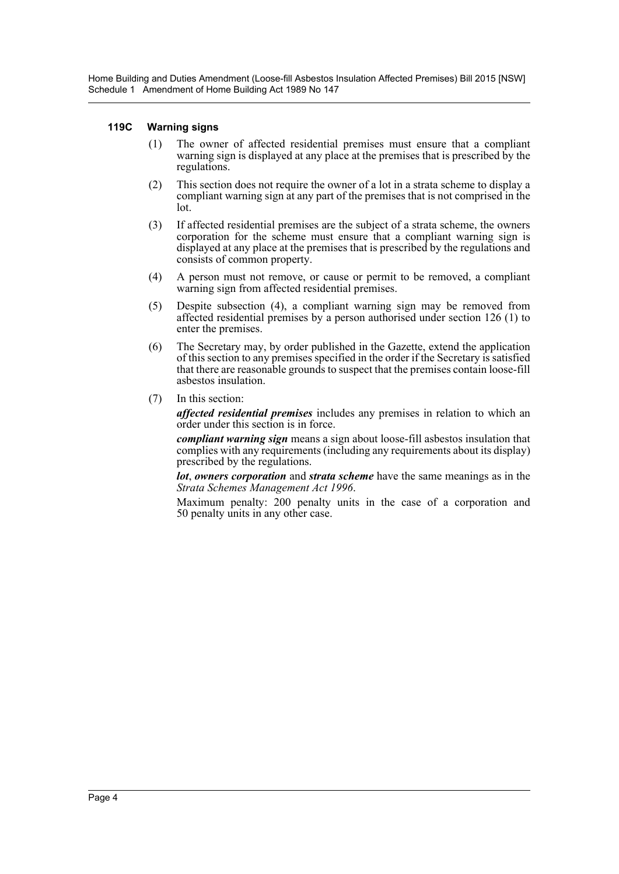Home Building and Duties Amendment (Loose-fill Asbestos Insulation Affected Premises) Bill 2015 [NSW] Schedule 1 Amendment of Home Building Act 1989 No 147

#### **119C Warning signs**

- (1) The owner of affected residential premises must ensure that a compliant warning sign is displayed at any place at the premises that is prescribed by the regulations.
- (2) This section does not require the owner of a lot in a strata scheme to display a compliant warning sign at any part of the premises that is not comprised in the lot.
- (3) If affected residential premises are the subject of a strata scheme, the owners corporation for the scheme must ensure that a compliant warning sign is displayed at any place at the premises that is prescribed by the regulations and consists of common property.
- (4) A person must not remove, or cause or permit to be removed, a compliant warning sign from affected residential premises.
- (5) Despite subsection (4), a compliant warning sign may be removed from affected residential premises by a person authorised under section 126 (1) to enter the premises.
- (6) The Secretary may, by order published in the Gazette, extend the application of this section to any premises specified in the order if the Secretary is satisfied that there are reasonable grounds to suspect that the premises contain loose-fill asbestos insulation.
- (7) In this section:

*affected residential premises* includes any premises in relation to which an order under this section is in force.

*compliant warning sign* means a sign about loose-fill asbestos insulation that complies with any requirements (including any requirements about its display) prescribed by the regulations.

*lot*, *owners corporation* and *strata scheme* have the same meanings as in the *Strata Schemes Management Act 1996*.

Maximum penalty: 200 penalty units in the case of a corporation and 50 penalty units in any other case.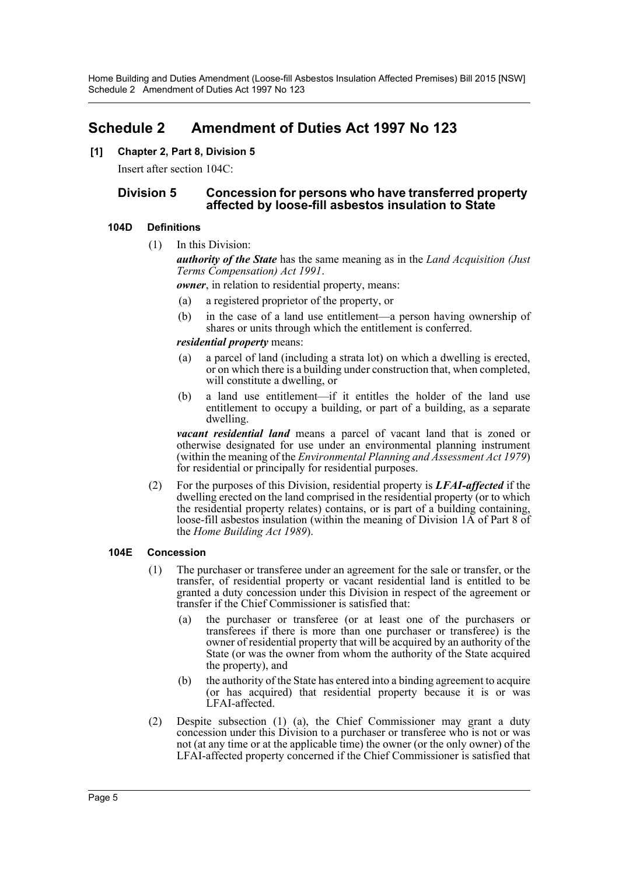# <span id="page-5-0"></span>**Schedule 2 Amendment of Duties Act 1997 No 123**

### **[1] Chapter 2, Part 8, Division 5**

Insert after section 104C:

### **Division 5 Concession for persons who have transferred property affected by loose-fill asbestos insulation to State**

### **104D Definitions**

(1) In this Division:

*authority of the State* has the same meaning as in the *Land Acquisition (Just Terms Compensation) Act 1991*.

*owner*, in relation to residential property, means:

- (a) a registered proprietor of the property, or
- (b) in the case of a land use entitlement—a person having ownership of shares or units through which the entitlement is conferred.

#### *residential property* means:

- (a) a parcel of land (including a strata lot) on which a dwelling is erected, or on which there is a building under construction that, when completed, will constitute a dwelling, or
- (b) a land use entitlement—if it entitles the holder of the land use entitlement to occupy a building, or part of a building, as a separate dwelling.

*vacant residential land* means a parcel of vacant land that is zoned or otherwise designated for use under an environmental planning instrument (within the meaning of the *Environmental Planning and Assessment Act 1979*) for residential or principally for residential purposes.

(2) For the purposes of this Division, residential property is *LFAI-affected* if the dwelling erected on the land comprised in the residential property (or to which the residential property relates) contains, or is part of a building containing, loose-fill asbestos insulation (within the meaning of Division 1A of Part 8 of the *Home Building Act 1989*).

#### **104E Concession**

- (1) The purchaser or transferee under an agreement for the sale or transfer, or the transfer, of residential property or vacant residential land is entitled to be granted a duty concession under this Division in respect of the agreement or transfer if the Chief Commissioner is satisfied that:
	- (a) the purchaser or transferee (or at least one of the purchasers or transferees if there is more than one purchaser or transferee) is the owner of residential property that will be acquired by an authority of the State (or was the owner from whom the authority of the State acquired the property), and
	- (b) the authority of the State has entered into a binding agreement to acquire (or has acquired) that residential property because it is or was LFAI-affected.
- (2) Despite subsection (1) (a), the Chief Commissioner may grant a duty concession under this Division to a purchaser or transferee who is not or was not (at any time or at the applicable time) the owner (or the only owner) of the LFAI-affected property concerned if the Chief Commissioner is satisfied that